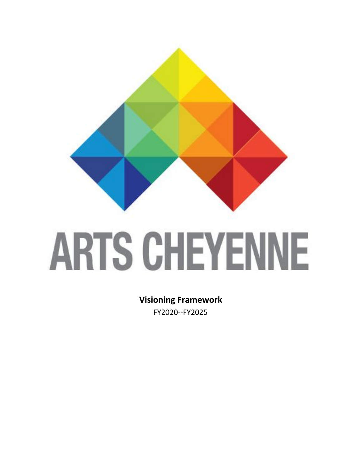

# **ARTS CHEYENNE**

**Visioning Framework** FY2020--FY2025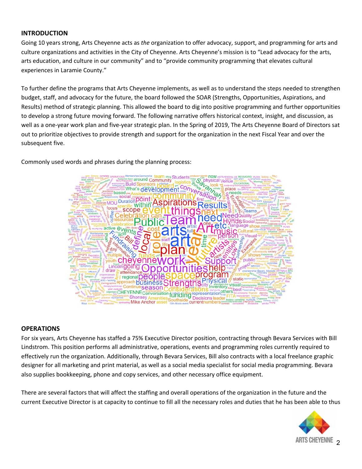# **INTRODUCTION**

Going 10 years strong, Arts Cheyenne acts as *the* organization to offer advocacy, support, and programming for arts and culture organizations and activities in the City of Cheyenne. Arts Cheyenne's mission is to "Lead advocacy for the arts, arts education, and culture in our community" and to "provide community programming that elevates cultural experiences in Laramie County."

To further define the programs that Arts Cheyenne implements, as well as to understand the steps needed to strengthen budget, staff, and advocacy for the future, the board followed the SOAR (Strengths, Opportunities, Aspirations, and Results) method of strategic planning. This allowed the board to dig into positive programming and further opportunities to develop a strong future moving forward. The following narrative offers historical context, insight, and discussion, as well as a one-year work plan and five-year strategic plan. In the Spring of 2019, The Arts Cheyenne Board of Directors sat out to prioritize objectives to provide strength and support for the organization in the next Fiscal Year and over the subsequent five.

Commonly used words and phrases during the planning process:



### **OPERATIONS**

For six years, Arts Cheyenne has staffed a 75% Executive Director position, contracting through Bevara Services with Bill Lindstrom. This position performs all administrative, operations, events and programming roles currently required to effectively run the organization. Additionally, through Bevara Services, Bill also contracts with a local freelance graphic designer for all marketing and print material, as well as a social media specialist for social media programming. Bevara also supplies bookkeeping, phone and copy services, and other necessary office equipment.

There are several factors that will affect the staffing and overall operations of the organization in the future and the current Executive Director is at capacity to continue to fill all the necessary roles and duties that he has been able to thus

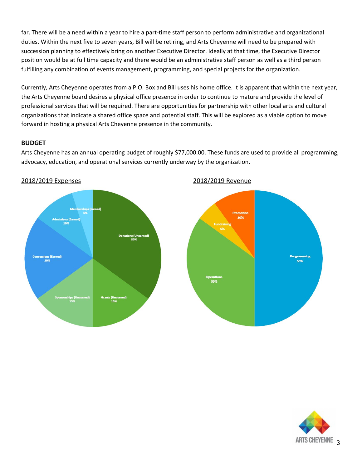far. There will be a need within a year to hire a part-time staff person to perform administrative and organizational duties. Within the next five to seven years, Bill will be retiring, and Arts Cheyenne will need to be prepared with succession planning to effectively bring on another Executive Director. Ideally at that time, the Executive Director position would be at full time capacity and there would be an administrative staff person as well as a third person fulfilling any combination of events management, programming, and special projects for the organization.

Currently, Arts Cheyenne operates from a P.O. Box and Bill uses his home office. It is apparent that within the next year, the Arts Cheyenne board desires a physical office presence in order to continue to mature and provide the level of professional services that will be required. There are opportunities for partnership with other local arts and cultural organizations that indicate a shared office space and potential staff. This will be explored as a viable option to move forward in hosting a physical Arts Cheyenne presence in the community.

# **BUDGET**

Arts Cheyenne has an annual operating budget of roughly \$77,000.00. These funds are used to provide all programming, advocacy, education, and operational services currently underway by the organization.





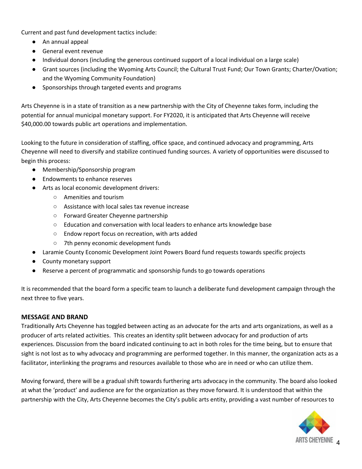Current and past fund development tactics include:

- An annual appeal
- General event revenue
- Individual donors (including the generous continued support of a local individual on a large scale)
- Grant sources (including the Wyoming Arts Council; the Cultural Trust Fund; Our Town Grants; Charter/Ovation; and the Wyoming Community Foundation)
- Sponsorships through targeted events and programs

Arts Cheyenne is in a state of transition as a new partnership with the City of Cheyenne takes form, including the potential for annual municipal monetary support. For FY2020, it is anticipated that Arts Cheyenne will receive \$40,000.00 towards public art operations and implementation.

Looking to the future in consideration of staffing, office space, and continued advocacy and programming, Arts Cheyenne will need to diversify and stabilize continued funding sources. A variety of opportunities were discussed to begin this process:

- Membership/Sponsorship program
- Endowments to enhance reserves
- Arts as local economic development drivers:
	- Amenities and tourism
	- Assistance with local sales tax revenue increase
	- Forward Greater Cheyenne partnership
	- Education and conversation with local leaders to enhance arts knowledge base
	- Endow report focus on recreation, with arts added
	- 7th penny economic development funds
- Laramie County Economic Development Joint Powers Board fund requests towards specific projects
- County monetary support
- Reserve a percent of programmatic and sponsorship funds to go towards operations

It is recommended that the board form a specific team to launch a deliberate fund development campaign through the next three to five years.

# **MESSAGE AND BRAND**

Traditionally Arts Cheyenne has toggled between acting as an advocate for the arts and arts organizations, as well as a producer of arts related activities. This creates an identity split between advocacy for and production of arts experiences. Discussion from the board indicated continuing to act in both roles for the time being, but to ensure that sight is not lost as to why advocacy and programming are performed together. In this manner, the organization acts as a facilitator, interlinking the programs and resources available to those who are in need or who can utilize them.

Moving forward, there will be a gradual shift towards furthering arts advocacy in the community. The board also looked at what the 'product' and audience are for the organization as they move forward. It is understood that within the partnership with the City, Arts Cheyenne becomes the City's public arts entity, providing a vast number of resources to

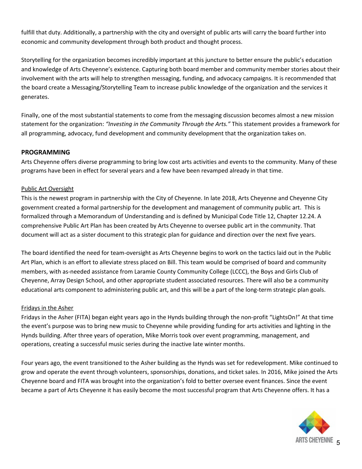fulfill that duty. Additionally, a partnership with the city and oversight of public arts will carry the board further into economic and community development through both product and thought process.

Storytelling for the organization becomes incredibly important at this juncture to better ensure the public's education and knowledge of Arts Cheyenne's existence. Capturing both board member and community member stories about their involvement with the arts will help to strengthen messaging, funding, and advocacy campaigns. It is recommended that the board create a Messaging/Storytelling Team to increase public knowledge of the organization and the services it generates.

Finally, one of the most substantial statements to come from the messaging discussion becomes almost a new mission statement for the organization: *"Investing in the Community Through the Arts."* This statement provides a framework for all programming, advocacy, fund development and community development that the organization takes on.

# **PROGRAMMING**

Arts Cheyenne offers diverse programming to bring low cost arts activities and events to the community. Many of these programs have been in effect for several years and a few have been revamped already in that time.

# Public Art Oversight

This is the newest program in partnership with the City of Cheyenne. In late 2018, Arts Cheyenne and Cheyenne City government created a formal partnership for the development and management of community public art. This is formalized through a Memorandum of Understanding and is defined by Municipal Code Title 12, Chapter 12.24. A comprehensive Public Art Plan has been created by Arts Cheyenne to oversee public art in the community. That document will act as a sister document to this strategic plan for guidance and direction over the next five years.

The board identified the need for team-oversight as Arts Cheyenne begins to work on the tactics laid out in the Public Art Plan, which is an effort to alleviate stress placed on Bill. This team would be comprised of board and community members, with as-needed assistance from Laramie County Community College (LCCC), the Boys and Girls Club of Cheyenne, Array Design School, and other appropriate student associated resources. There will also be a community educational arts component to administering public art, and this will be a part of the long-term strategic plan goals.

### Fridays in the Asher

Fridays in the Asher (FITA) began eight years ago in the Hynds building through the non-profit "LightsOn!" At that time the event's purpose was to bring new music to Cheyenne while providing funding for arts activities and lighting in the Hynds building. After three years of operation, Mike Morris took over event programming, management, and operations, creating a successful music series during the inactive late winter months.

Four years ago, the event transitioned to the Asher building as the Hynds was set for redevelopment. Mike continued to grow and operate the event through volunteers, sponsorships, donations, and ticket sales. In 2016, Mike joined the Arts Cheyenne board and FITA was brought into the organization's fold to better oversee event finances. Since the event became a part of Arts Cheyenne it has easily become the most successful program that Arts Cheyenne offers. It has a

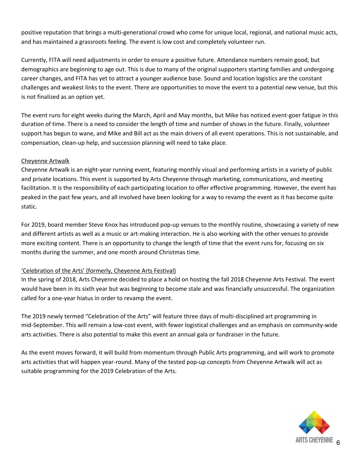positive reputation that brings a multi-generational crowd who come for unique local, regional, and national music acts, and has maintained a grassroots feeling. The event is low cost and completely volunteer run.

Currently, FITA will need adjustments in order to ensure a positive future. Attendance numbers remain good, but demographics are beginning to age out. This is due to many of the original supporters starting families and undergoing career changes, and FITA has yet to attract a younger audience base. Sound and location logistics are the constant challenges and weakest links to the event. There are opportunities to move the event to a potential new venue, but this is not finalized as an option yet.

The event runs for eight weeks during the March, April and May months, but Mike has noticed event-goer fatigue in this duration of time. There is a need to consider the length of time and number of shows in the future. Finally, volunteer support has begun to wane, and Mike and Bill act as the main drivers of all event operations. This is not sustainable, and compensation, clean-up help, and succession planning will need to take place.

# Cheyenne Artwalk

Cheyenne Artwalk is an eight-year running event, featuring monthly visual and performing artists in a variety of public and private locations. This event is supported by Arts Cheyenne through marketing, communications, and meeting facilitation. It is the responsibility of each participating location to offer effective programming. However, the event has peaked in the past few years, and all involved have been looking for a way to revamp the event as it has become quite static.

For 2019, board member Steve Knox has introduced pop-up venues to the monthly routine, showcasing a variety of new and different artists as well as a music or art-making interaction. He is also working with the other venues to provide more exciting content. There is an opportunity to change the length of time that the event runs for, focusing on six months during the summer, and one month around Christmas time.

# 'Celebration of the Arts' (formerly, Cheyenne Arts Festival)

In the spring of 2018, Arts Cheyenne decided to place a hold on hosting the fall 2018 Cheyenne Arts Festival. The event would have been in its sixth year but was beginning to become stale and was financially unsuccessful. The organization called for a one-year hiatus in order to revamp the event.

The 2019 newly termed "Celebration of the Arts" will feature three days of multi-disciplined art programming in mid-September. This will remain a low-cost event, with fewer logistical challenges and an emphasis on community-wide arts activities. There is also potential to make this event an annual gala or fundraiser in the future.

As the event moves forward, it will build from momentum through Public Arts programming, and will work to promote arts activities that will happen year-round. Many of the tested pop-up concepts from Cheyenne Artwalk will act as suitable programming for the 2019 Celebration of the Arts.

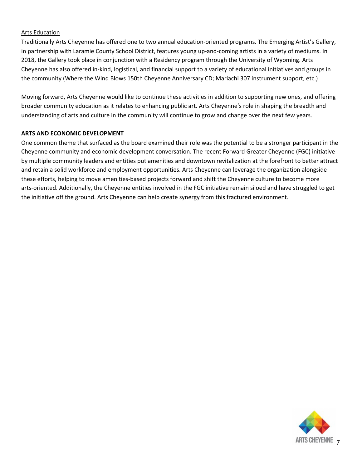# Arts Education

Traditionally Arts Cheyenne has offered one to two annual education-oriented programs. The Emerging Artist's Gallery, in partnership with Laramie County School District, features young up-and-coming artists in a variety of mediums. In 2018, the Gallery took place in conjunction with a Residency program through the University of Wyoming. Arts Cheyenne has also offered in-kind, logistical, and financial support to a variety of educational initiatives and groups in the community (Where the Wind Blows 150th Cheyenne Anniversary CD; Mariachi 307 instrument support, etc.)

Moving forward, Arts Cheyenne would like to continue these activities in addition to supporting new ones, and offering broader community education as it relates to enhancing public art. Arts Cheyenne's role in shaping the breadth and understanding of arts and culture in the community will continue to grow and change over the next few years.

# **ARTS AND ECONOMIC DEVELOPMENT**

One common theme that surfaced as the board examined their role was the potential to be a stronger participant in the Cheyenne community and economic development conversation. The recent Forward Greater Cheyenne (FGC) initiative by multiple community leaders and entities put amenities and downtown revitalization at the forefront to better attract and retain a solid workforce and employment opportunities. Arts Cheyenne can leverage the organization alongside these efforts, helping to move amenities-based projects forward and shift the Cheyenne culture to become more arts-oriented. Additionally, the Cheyenne entities involved in the FGC initiative remain siloed and have struggled to get the initiative off the ground. Arts Cheyenne can help create synergy from this fractured environment.